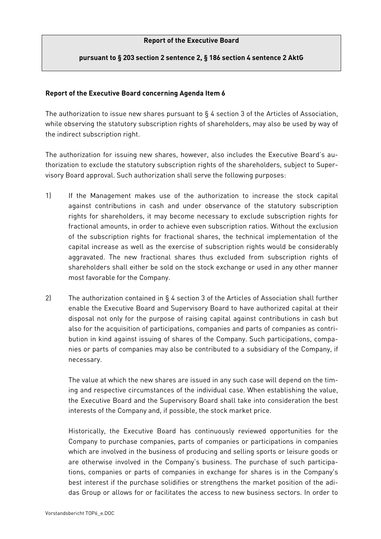## **Report of the Executive Board**

## **pursuant to § 203 section 2 sentence 2, § 186 section 4 sentence 2 AktG**

## **Report of the Executive Board concerning Agenda Item 6**

The authorization to issue new shares pursuant to § 4 section 3 of the Articles of Association, while observing the statutory subscription rights of shareholders, may also be used by way of the indirect subscription right.

The authorization for issuing new shares, however, also includes the Executive Board's authorization to exclude the statutory subscription rights of the shareholders, subject to Supervisory Board approval. Such authorization shall serve the following purposes:

- 1) If the Management makes use of the authorization to increase the stock capital against contributions in cash and under observance of the statutory subscription rights for shareholders, it may become necessary to exclude subscription rights for fractional amounts, in order to achieve even subscription ratios. Without the exclusion of the subscription rights for fractional shares, the technical implementation of the capital increase as well as the exercise of subscription rights would be considerably aggravated. The new fractional shares thus excluded from subscription rights of shareholders shall either be sold on the stock exchange or used in any other manner most favorable for the Company.
- 2) The authorization contained in § 4 section 3 of the Articles of Association shall further enable the Executive Board and Supervisory Board to have authorized capital at their disposal not only for the purpose of raising capital against contributions in cash but also for the acquisition of participations, companies and parts of companies as contribution in kind against issuing of shares of the Company. Such participations, companies or parts of companies may also be contributed to a subsidiary of the Company, if necessary.

 The value at which the new shares are issued in any such case will depend on the timing and respective circumstances of the individual case. When establishing the value, the Executive Board and the Supervisory Board shall take into consideration the best interests of the Company and, if possible, the stock market price.

Historically, the Executive Board has continuously reviewed opportunities for the Company to purchase companies, parts of companies or participations in companies which are involved in the business of producing and selling sports or leisure goods or are otherwise involved in the Company's business. The purchase of such participations, companies or parts of companies in exchange for shares is in the Company's best interest if the purchase solidifies or strengthens the market position of the adidas Group or allows for or facilitates the access to new business sectors. In order to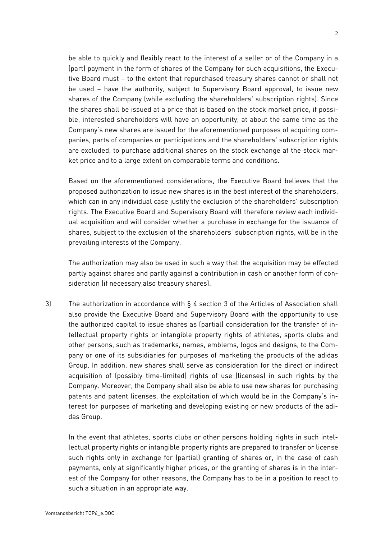be able to quickly and flexibly react to the interest of a seller or of the Company in a (part) payment in the form of shares of the Company for such acquisitions, the Executive Board must – to the extent that repurchased treasury shares cannot or shall not be used – have the authority, subject to Supervisory Board approval, to issue new shares of the Company (while excluding the shareholders' subscription rights). Since the shares shall be issued at a price that is based on the stock market price, if possible, interested shareholders will have an opportunity, at about the same time as the Company's new shares are issued for the aforementioned purposes of acquiring companies, parts of companies or participations and the shareholders' subscription rights are excluded, to purchase additional shares on the stock exchange at the stock market price and to a large extent on comparable terms and conditions.

Based on the aforementioned considerations, the Executive Board believes that the proposed authorization to issue new shares is in the best interest of the shareholders, which can in any individual case justify the exclusion of the shareholders' subscription rights. The Executive Board and Supervisory Board will therefore review each individual acquisition and will consider whether a purchase in exchange for the issuance of shares, subject to the exclusion of the shareholders' subscription rights, will be in the prevailing interests of the Company.

The authorization may also be used in such a way that the acquisition may be effected partly against shares and partly against a contribution in cash or another form of consideration (if necessary also treasury shares).

3) The authorization in accordance with § 4 section 3 of the Articles of Association shall also provide the Executive Board and Supervisory Board with the opportunity to use the authorized capital to issue shares as (partial) consideration for the transfer of intellectual property rights or intangible property rights of athletes, sports clubs and other persons, such as trademarks, names, emblems, logos and designs, to the Company or one of its subsidiaries for purposes of marketing the products of the adidas Group. In addition, new shares shall serve as consideration for the direct or indirect acquisition of (possibly time-limited) rights of use (licenses) in such rights by the Company. Moreover, the Company shall also be able to use new shares for purchasing patents and patent licenses, the exploitation of which would be in the Company's interest for purposes of marketing and developing existing or new products of the adidas Group.

In the event that athletes, sports clubs or other persons holding rights in such intellectual property rights or intangible property rights are prepared to transfer or license such rights only in exchange for (partial) granting of shares or, in the case of cash payments, only at significantly higher prices, or the granting of shares is in the interest of the Company for other reasons, the Company has to be in a position to react to such a situation in an appropriate way.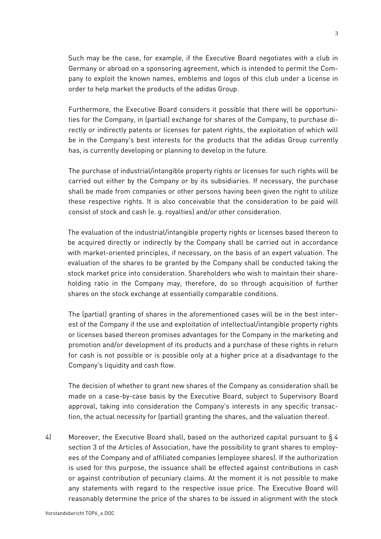Such may be the case, for example, if the Executive Board negotiates with a club in Germany or abroad on a sponsoring agreement, which is intended to permit the Company to exploit the known names, emblems and logos of this club under a license in order to help market the products of the adidas Group.

Furthermore, the Executive Board considers it possible that there will be opportunities for the Company, in (partial) exchange for shares of the Company, to purchase directly or indirectly patents or licenses for patent rights, the exploitation of which will be in the Company's best interests for the products that the adidas Group currently has, is currently developing or planning to develop in the future.

The purchase of industrial/intangible property rights or licenses for such rights will be carried out either by the Company or by its subsidiaries. If necessary, the purchase shall be made from companies or other persons having been given the right to utilize these respective rights. It is also conceivable that the consideration to be paid will consist of stock and cash (e. g. royalties) and/or other consideration.

The evaluation of the industrial/intangible property rights or licenses based thereon to be acquired directly or indirectly by the Company shall be carried out in accordance with market-oriented principles, if necessary, on the basis of an expert valuation. The evaluation of the shares to be granted by the Company shall be conducted taking the stock market price into consideration. Shareholders who wish to maintain their shareholding ratio in the Company may, therefore, do so through acquisition of further shares on the stock exchange at essentially comparable conditions.

The (partial) granting of shares in the aforementioned cases will be in the best interest of the Company if the use and exploitation of intellectual/intangible property rights or licenses based thereon promises advantages for the Company in the marketing and promotion and/or development of its products and a purchase of these rights in return for cash is not possible or is possible only at a higher price at a disadvantage to the Company's liquidity and cash flow.

The decision of whether to grant new shares of the Company as consideration shall be made on a case-by-case basis by the Executive Board, subject to Supervisory Board approval, taking into consideration the Company's interests in any specific transaction, the actual necessity for (partial) granting the shares, and the valuation thereof.

4) Moreover, the Executive Board shall, based on the authorized capital pursuant to § 4 section 3 of the Articles of Association, have the possibility to grant shares to employees of the Company and of affiliated companies (employee shares). If the authorization is used for this purpose, the issuance shall be effected against contributions in cash or against contribution of pecuniary claims. At the moment it is not possible to make any statements with regard to the respective issue price. The Executive Board will reasonably determine the price of the shares to be issued in alignment with the stock